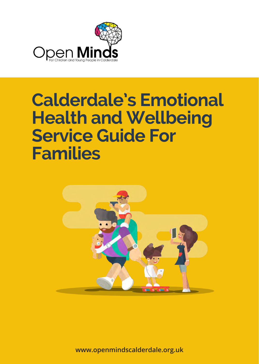

# **Calderdale's Emotional Health and Wellbeing Service Guide For Families**



**www.openmindscalderdale.org.uk**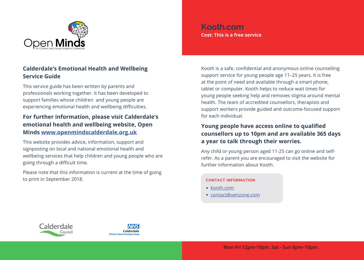

## **Calderdale's Emotional Health and Wellbeing Service Guide**

This service guide has been written by parents and professionals working together. It has been developed to support families whose children and young people are experiencing emotional health and wellbeing difficulties.

## **For further information, please visit Calderdale's emotional health and wellbeing website, Open Minds [www.openmindscalderdale.org.uk](http://www.openmindscalderdale.org.uk)**

This website provides advice, information, support and signposting on local and national emotional health and wellbeing services that help children and young people who are going through a difficult time.

Please note that this information is current at the time of going to print in September 2018.

**Kooth.com Cost: This is a free service**

Kooth is a safe, confidential and anonymous online counselling support service for young people age 11–25 years. It is free at the point of need and available through a smart phone, tablet or computer. Kooth helps to reduce wait times for young people seeking help and removes stigma around mental health. The team of accredited counsellors, therapists and support workers provide guided and outcome-focused support for each individual.

## **Young people have access online to qualified counsellors up to 10pm and are available 365 days a year to talk through their worries.**

Any child or young person aged 11-25 can go online and selfrefer. As a parent you are encouraged to visit the website for further information about Kooth.

- **•** [kooth.com](http://kooth.com)
- **•** [contact@xenzone.com](mailto:contact%40xenzone.com?subject=)



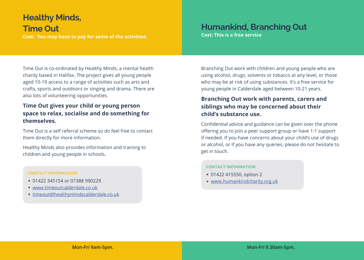# **Healthy Minds,**

**Time Out Cost: You may have to pay for some of the activities.**

# **Humankind, Branching Out Cost: This is a free service**

Time Out is co-ordinated by Healthy Minds, a mental health charity based in Halifax. The project gives all young people aged 10-19 access to a range of activities such as arts and crafts, sports and outdoors or singing and drama. There are also lots of volunteering opportunities.

# **Time Out gives your child or young person space to relax, socialise and do something for themselves.**

Time Out is a self referral scheme so do feel free to contact them directly for more information.

Healthy Minds also provides information and training to children and young people in schools.

### **CONTACT INFORMATION**

- **•** 01422 345154 or 07388 990229
- **•** [www.timeoutcalderdale.co.uk](http://www.timeoutcalderdale.co.uk)
- **•** [timeout@healthymindscalderdale.co.uk](mailto:timeout%40healthymindscalderdale.co.uk?subject=Time%20OUt)

Branching Out work with children and young people who are using alcohol, drugs, solvents or tobacco at any level, or those who may be at risk of using substances. It's a free service for young people in Calderdale aged between 10-21 years.

### **Branching Out work with parents, carers and siblings who may be concerned about their child's substance use.**

Confidential advice and guidance can be given over the phone offering you to join a peer support group or have 1:1 support if needed. If you have concerns about your child's use of drugs or alcohol, or if you have any queries, please do not hesitate to get in touch.

- **•** 01422 415550, option 2
- **•** [www.humankindcharity.org.uk](https://humankindcharity.org.uk )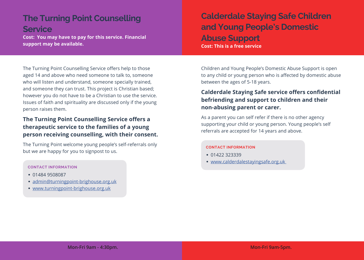# **The Turning Point Counselling Service**

**Cost: You may have to pay for this service. Financial support may be available.**

# **Calderdale Staying Safe Children and Young People's Domestic Abuse Support Cost: This is a free service**

The Turning Point Counselling Service offers help to those aged 14 and above who need someone to talk to, someone who will listen and understand, someone specially trained, and someone they can trust. This project is Christian based; however you do not have to be a Christian to use the service. Issues of faith and spirituality are discussed only if the young person raises them.

## **The Turning Point Counselling Service offers a therapeutic service to the families of a young person receiving counselling, with their consent.**

The Turning Point welcome young people's self-referrals only but we are happy for you to signpost to us.

#### **CONTACT INFORMATION**

- **•** 01484 9508087
- **•** [admin@turningpoint-brighouse.org.uk](mailto:admin%40turningpoint-brighouse.org.uk?subject=Turning%20Point)
- **•** [www.turningpoint-brighouse.org.uk](http://www.turningpoint-brighouse.org.uk)

Children and Young People's Domestic Abuse Support is open to any child or young person who is affected by domestic abuse between the ages of 5-18 years.

## **Calderdale Staying Safe service offers confidential befriending and support to children and their non-abusing parent or carer.**

As a parent you can self refer if there is no other agency supporting your child or young person. Young people's self referrals are accepted for 14 years and above.

- **•** 01422 323339
- **•** [www.calderdalestayingsafe.org.uk](http://www.calderdalestayingsafe.org.uk )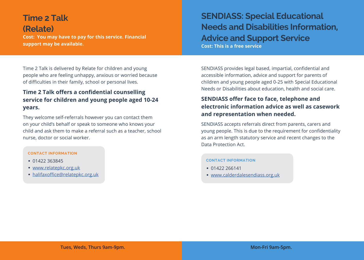# **Time 2 Talk (Relate)**

**Cost: You may have to pay for this service. Financial support may be available.**

**SENDIASS: Special Educational Needs and Disabilities Information, Advice and Support Service Cost: This is a free service**

Time 2 Talk is delivered by Relate for children and young people who are feeling unhappy, anxious or worried because of difficulties in their family, school or personal lives.

# **Time 2 Talk offers a confidential counselling service for children and young people aged 10-24 years.**

They welcome self-referrals however you can contact them on your child's behalf or speak to someone who knows your child and ask them to make a referral such as a teacher, school nurse, doctor or social worker.

### **CONTACT INFORMATION**

- **•** 01422 363845
- **•** [www.relatepkc.org.uk](http://www.relatepkc.org.uk)
- **•** [halifaxoffice@relatepkc.org.uk](mailto:halifaxoffice%40relatepkc.org.uk?subject=)

SENDIASS provides legal based, impartial, confidential and accessible information, advice and support for parents of children and young people aged 0-25 with Special Educational Needs or Disabilities about education, health and social care.

# **SENDIASS offer face to face, telephone and electronic information advice as well as casework and representation when needed.**

SENDIASS accepts referrals direct from parents, carers and young people. This is due to the requirement for confidentiality as an arm length statutory service and recent changes to the Data Protection Act.

- **•** 01422 266141
- **•** [www.calderdalesendiass.org.uk](http://www.calderdalesendiass.org.uk)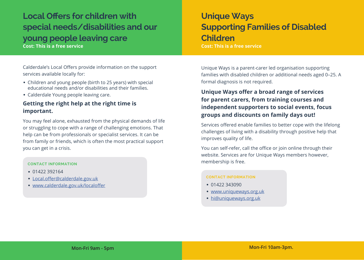**Local Offers for children with special needs/disabilities and our young people leaving care Cost: This is a free service**

Calderdale's Local Offers provide information on the support services available locally for:

- **•** Children and young people (birth to 25 years) with special educational needs and/or disabilities and their families.
- **•** Calderdale Young people leaving care.

## **Getting the right help at the right time is important.**

You may feel alone, exhausted from the physical demands of life or struggling to cope with a range of challenging emotions. That help can be from professionals or specialist services. It can be from family or friends, which is often the most practical support you can get in a crisis.

### **CONTACT INFORMATION**

- **•** 01422 392164
- **•** [Local.offer@calderdale.gov.uk](mailto:Local.offer%40calderdale.gov.uk?subject=Local%20Offer)
- **•** [www.calderdale.gov.uk/localoffer](http://www.calderdale.gov.uk/localoffer)

# **Unique Ways Supporting Families of Disabled Children**

**Cost: This is a free service**

Unique Ways is a parent-carer led organisation supporting families with disabled children or additional needs aged 0–25. A formal diagnosis is not required.

## **Unique Ways offer a broad range of services for parent carers, from training courses and independent supporters to social events, focus groups and discounts on family days out!**

Services offered enable families to better cope with the lifelong challenges of living with a disability through positive help that improves quality of life.

You can self-refer, call the office or join online through their website. Services are for Unique Ways members however, membership is free.

- **•** 01422 343090
- **•** [www.uniqueways.org.uk](http://www.uniqueways.org.uk)
- **•** [hi@uniqueways.org.uk](mailto:hi%40uniqueways.org.uk?subject=Unique%20Ways)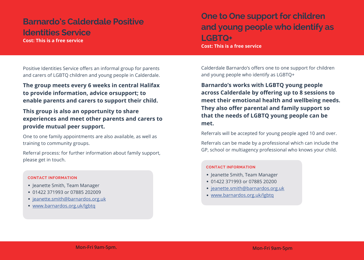# **Barnardo's Calderdale Positive Identities Service Cost: This is a free service**

# **One to One support for children and young people who identify as LGBTQ+ Cost: This is a free service**

Positive Identities Service offers an informal group for parents and carers of LGBTQ children and young people in Calderdale.

**The group meets every 6 weeks in central Halifax to provide information, advice orsupport; to enable parents and carers to support their child.** 

**This group is also an opportunity to share experiences and meet other parents and carers to provide mutual peer support.** 

One to one family appointments are also available, as well as training to community groups.

Referral process: for further information about family support, please get in touch.

### **CONTACT INFORMATION**

- **•** Jeanette Smith, Team Manager
- **•** 01422 371993 or 07885 202009
- **•** [jeanette.smith@barnardos.org.uk](mailto:jeanette.smith%40barnardos.org.uk%20?subject=)
- **•** [www.barnardos.org.uk/lgbtq](http://www.barnardos.org.uk/lgbtq)

Calderdale Barnardo's offers one to one support for children and young people who identify as LGBTQ+

**Barnardo's works with LGBTQ young people across Calderdale by offering up to 8 sessions to meet their emotional health and wellbeing needs. They also offer parental and family support so that the needs of LGBTQ young people can be met.**

Referrals will be accepted for young people aged 10 and over.

Referrals can be made by a professional which can include the GP, school or multiagency professional who knows your child.

- **•** Jeanette Smith, Team Manager
- **•** 01422 371993 or 07885 20200
- **•** [jeanette.smith@barnardos.org.uk](mailto:jeanette.smith%40barnardos.org.uk?subject=)
- **•** [www.barnardos.org.uk/lgbtq](http://www.barnardos.org.uk/lgbtq)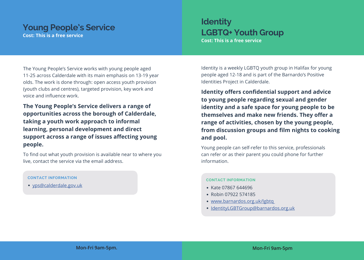# **Young People's Service Cost: This is a free service**

# **Identity LGBTQ+ Youth Group Cost: This is a free service**

The Young People's Service works with young people aged 11-25 across Calderdale with its main emphasis on 13-19 year olds. The work is done through: open access youth provision (youth clubs and centres), targeted provision, key work and voice and influence work.

**The Young People's Service delivers a range of opportunities across the borough of Calderdale, taking a youth work approach to informal learning, personal development and direct support across a range of issues affecting young people.**

To find out what youth provision is available near to where you live, contact the service via the email address.

### **CONTACT INFORMATION**

**•** [yps@calderdale.gov.uk](mailto:yps%40calderdale.gov.uk?subject=Young%20People%27s%20Service)

Identity is a weekly LGBTQ youth group in Halifax for young people aged 12-18 and is part of the Barnardo's Positive Identities Project in Calderdale.

**Identity offers confidential support and advice to young people regarding sexual and gender identity and a safe space for young people to be themselves and make new friends. They offer a range of activities, chosen by the young people, from discussion groups and film nights to cooking and pool.**

Young people can self-refer to this service, professionals can refer or as their parent you could phone for further information.

- **•** Kate 07867 644696
- **•** Robin 07922 574185
- **•** [www.barnardos.org.uk/lgbtq](http://www.barnardos.org.uk/lgbtq )
- **•** [IdentityLGBTGroup@barnardos.org.uk](mailto:IdentityLGBTGroup%40barnardos.org.uk?subject=)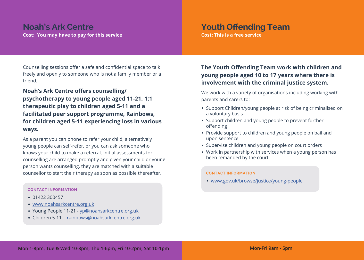# **Noah's Ark Centre Cost: You may have to pay for this service**

# **Youth Offending Team**

**Cost: This is a free service**

Counselling sessions offer a safe and confidential space to talk freely and openly to someone who is not a family member or a friend.

# **Noah's Ark Centre offers counselling/ psychotherapy to young people aged 11-21, 1:1 therapeutic play to children aged 5-11 and a facilitated peer support programme, Rainbows, for children aged 5-11 experiencing loss in various ways.**

As a parent you can phone to refer your child, alternatively young people can self-refer, or you can ask someone who knows your child to make a referral. Initial assessments for counselling are arranged promptly and given your child or young person wants counselling, they are matched with a suitable counsellor to start their therapy as soon as possible thereafter.

### **CONTACT INFORMATION**

- **•** 01422 300457
- **•** [www.noahsarkcentre.org.uk](http://www.noahsarkcentre.org.uk)
- **•** Young People 11-21 [yp@noahsarkcentre.org.uk](mailto:yp%40noahsarkcentre.org.uk?subject=Noah%27s%20Ark%20Centre)
- **•** Children 5-11 [rainbows@noahsarkcentre.org.uk](mailto:rainbows%40noahsarkcentre.org.uk?subject=Noah%27s%20Ark%20Centre)

# **The Youth Offending Team work with children and young people aged 10 to 17 years where there is involvement with the criminal justice system.**

We work with a variety of organisations including working with parents and carers to:

- **•** Support Children/young people at risk of being criminalised on a voluntary basis
- **•** Support children and young people to prevent further offending
- **•** Provide support to children and young people on bail and upon sentence
- **•** Supervise children and young people on court orders
- **•** Work in partnership with services when a young person has been remanded by the court

### **CONTACT INFORMATION**

**•** [www.gov.uk/browse/justice/young-people](http://www.gov.uk/browse/justice/young-people)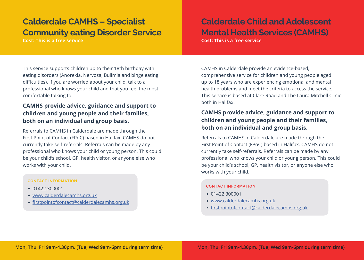# **Calderdale CAMHS – Specialist Community eating Disorder Service**

**Cost: This is a free service**

# **Calderdale Child and Adolescent Mental Health Services (CAMHS) Cost: This is a free service**

This service supports children up to their 18th birthday with eating disorders (Anorexia, Nervosa, Bulimia and binge eating difficulties). If you are worried about your child, talk to a professional who knows your child and that you feel the most comfortable talking to.

# **CAMHS provide advice, guidance and support to children and young people and their families, both on an individual and group basis.**

Referrals to CAMHS in Calderdale are made through the First Point of Contact (FPoC) based in Halifax. CAMHS do not currently take self-referrals. Referrals can be made by any professional who knows your child or young person. This could be your child's school, GP, health visitor, or anyone else who works with your child.

### **CONTACT INFORMATION**

- **•** 01422 300001
- **•** [www.calderdalecamhs.org.uk](http://www.calderdalecamhs.org.uk)
- **•** [firstpointofcontact@calderdalecamhs.org.uk](mailto:firstpointofcontact%40calderdalecamhs.org.uk?subject=CAMHS)

CAMHS in Calderdale provide an evidence-based, comprehensive service for children and young people aged up to 18 years who are experiencing emotional and mental health problems and meet the criteria to access the service. This service is based at Clare Road and The Laura Mitchell Clinic both in Halifax.

# **CAMHS provide advice, guidance and support to children and young people and their families, both on an individual and group basis.**

Referrals to CAMHS in Calderdale are made through the First Point of Contact (FPoC) based in Halifax. CAMHS do not currently take self-referrals. Referrals can be made by any professional who knows your child or young person. This could be your child's school, GP, health visitor, or anyone else who works with your child.

### **CONTACT INFORMATION**

- **•** 01422 300001
- **•** [www.calderdalecamhs.org.uk](http://www.calderdalecamhs.org.uk)
- **•** [firstpointofcontact@calderdalecamhs.org.uk](mailto:firstpointofcontact%40calderdalecamhs.org.uk?subject=CAMHS)

**Mon, Thu, Fri 9am-4.30pm. (Tue, Wed 9am-6pm during term time)**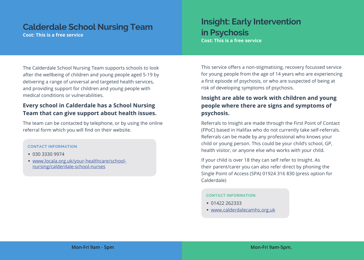# **Calderdale School Nursing Team**

**Cost: This is a free service**

# **Insight: Early Intervention in Psychosis Cost: This is a free service**

The Calderdale School Nursing Team supports schools to look after the wellbeing of children and young people aged 5-19 by delivering a range of universal and targeted health services, and providing support for children and young people with medical conditions or vulnerabilities.

# **Every school in Calderdale has a School Nursing Team that can give support about health issues.**

The team can be contacted by telephone, or by using the online referral form which you will find on their website.

### **CONTACT INFORMATION**

- **•** 030 3330 9974
- **•** [www.locala.org.uk/your-healthcare/school](http://www.locala.org.uk/your-healthcare/school-nursing/calderdale-school-nurses)[nursing/calderdale-school-nurses](http://www.locala.org.uk/your-healthcare/school-nursing/calderdale-school-nurses)

This service offers a non-stigmatising, recovery focussed service for young people from the age of 14 years who are experiencing a first episode of psychosis, or who are suspected of being at risk of developing symptoms of psychosis.

# **Insight are able to work with children and young people where there are signs and symptoms of psychosis.**

Referrals to Insight are made through the First Point of Contact (FPoC) based in Halifax who do not currently take self-referrals. Referrals can be made by any professional who knows your child or young person. This could be your child's school, GP, health visitor, or anyone else who works with your child.

If your child is over 18 they can self refer to Insight. As their parent/carer you can also refer direct by phoning the Single Point of Access (SPA) 01924 316 830 (press option for Calderdale)

- **•** 01422 262333
- **•** [www.calderdalecamhs.org.uk](http://www.calderdalecamhs.org.uk)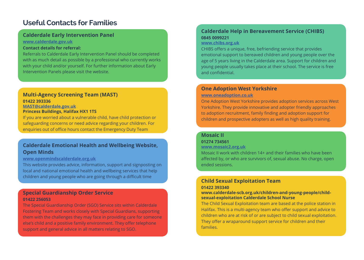# **Useful Contacts for Families**

### **Calderdale Early Intervention Panel [www.calderdale.gov.uk](http://www.calderdale.gov.uk)**

#### **Contact details for referral:**

Referrals to Calderdale Early Intervention Panel should be completed with as much detail as possible by a professional who currently works with your child and/or yourself. For further information about Early Intervention Panels please visit the website.

### **Multi-Agency Screening Team (MAST) 01422 393336 [MAST@calderdale.gov.uk](mailto:MAST%40calderdale.gov.uk?subject=Multi-Agency%20Screening%20Team)**

### **Princess Buildings, Halifax HX1 1TS**

If you are worried about a vulnerable child, have child protection or safeguarding concerns or need advice regarding your children. For enquiries out of office hours contact the Emergency Duty Team

### **Calderdale Emotional Health and Wellbeing Website, Open Minds**

### **[www.openmindscalderdale.org.uk](http://www.openmindscalderdale.org.uk)**

This website provides advice, information, support and signposting on local and national emotional health and wellbeing services that help children and young people who are going through a difficult time

### **Special Guardianship Order Service 01422 256053**

The Special Guardianship Order (SGO) Service sits within Calderdale Fostering Team and works closely with Special Guardians, supporting them with the challenges they may face in providing care for someone else's child and a positive family environment. They offer telephone support and general advice in all matters relating to SGO.

### **Calderdale Help in Bereavement Service (CHIBS) 0845 0099221**

#### **[www.chibs.org.uk](http://www.chibs.org.uk)**

CHIBS offers a unique, free, befriending service that provides emotional support to bereaved children and young people over the age of 5 years living in the Calderdale area. Support for children and young people usually takes place at their school. The service is free and confidential.

### **One Adoption West Yorkshire**

### **[www.oneadoption.co.uk](http://www.oneadoption.co.uk)**

One Adoption West Yorkshire provides adoption services across West Yorkshire. They provide innovative and adopter friendly approaches to adoption recruitment, family finding and adoption support for children and prospective adopters as well as high quality training.

### **Mosaic II**

### **01274 734561 [www.mosaic2.org.uk](http://www.mosaic2.org.uk)**

Mosaic II work with children 14+ and their families who have been affected by, or who are survivors of, sexual abuse. No charge, open ended sessions.

### **Child Sexual Exploitation Team 01422 393340**

### **[www.calderdale-scb.org.uk/children-and-young-people/child](http://www.calderdale-scb.org.uk/children-and-young-people/child-sexual-exploitation Calderdale School Nurse)[sexual-exploitation Calderdale School Nurse](http://www.calderdale-scb.org.uk/children-and-young-people/child-sexual-exploitation Calderdale School Nurse)**

The Child Sexual Exploitation team are based at the police station in Halifax. This is a multi-agency team who offer support and advice to children who are at risk of or are subject to child sexual exploitation. They offer a wraparound support service for children and their families.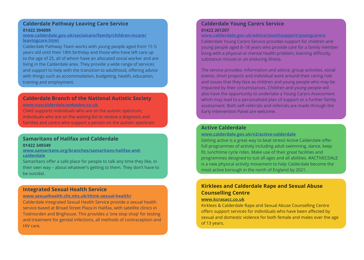### **Calderdale Pathway Leaving Care Service 01422 394099**

**[www.calderdale.gov.uk/socialcare/family/children-incare/](http://www.calderdale.gov.uk/socialcare/family/children-incare/leavingcare.html ) [leavingcare.html](http://www.calderdale.gov.uk/socialcare/family/children-incare/leavingcare.html )** 

Calderdale Pathway Team works with young people aged from 15 ½ years old until their 18th birthday and those who have left care up to the age of 25, all of whom have an allocated social worker and are living in the Calderdale area. They provide a wide range of services and support to help with the transition to adulthood, offering advice with things such as accommodation, budgeting, health, education, training and employment.

### **Calderdale Branch of the National Autistic Society [www.nascalderdale.webeden.co.uk](http://www.nascalderdale.webeden.co.uk)**

CNAS supports individuals who are on the autistic spectrum, individuals who are on the waiting list to receive a diagnosis and families and carers who support a person on the autistic spectrum.

### **Samaritans of Halifax and Calderdale 01422 349349**

**[www.samaritans.org/branches/samaritans-halifax-and](http://www.samaritans.org/branches/samaritans-halifax-and-calderdale)[calderdale](http://www.samaritans.org/branches/samaritans-halifax-and-calderdale)**

Samaritans offer a safe place for people to talk any time they like, in their own way – about whatever's getting to them. They don't have to be suicidal.

### **Integrated Sexual Health Service**

### **[www.sexualhealth.cht.nhs.uk/think-sexual-health/](http://www.sexualhealth.cht.nhs.uk/think-sexual-health/)**

Calderdale Integrated Sexual Health Service provide a sexual health service based at Broad Street Plaza in Halifax, with satellite clinics in Todmorden and Brighouse. This provides a 'one stop shop' for testing and treatment for genital infections, all methods of contraception and HIV care.

### **Calderdale Young Carers Service 01422 261207**

**[www.calderdale.gov.uk/advice/youthsupport/youngcarers](http://www.calderdale.gov.uk/advice/youthsupport/youngcarers)** Calderdale Young Carers Service provides support for children and young people aged 8–18 years who provide care for a family member living with a physical or mental health problem, learning difficulty, substance misuse or an enduring illness.

The service provides: information and advice, group activities, social events, short projects and individual work around their caring role and issues that they face as children and young people who may be impacted by their circumstances. Children and young people will also have the opportunity to undertake a Young Carers Assessment which may lead to a personalised plan of support or a further family assessment. Both self-referrals and referrals are made through the Early Intervention Panel are welcome.

### **Active Calderdale**

### **[www.calderdale.gov.uk/v2/active-calderdale](http://www.calderdale.gov.uk/v2/active-calderdale)**

Getting active is a great way to beat stress! Active Calderdale offer full programmes of activity including adult swimming, dance, keep fit, lunchtime cycle rides. Make use of their great facilities and programmes designed to suit all ages and all abilities. #ACTIVECDALE is a new physical activity movement to help Calderdale become the most active borough in the north of England by 2021.

### **Kirklees and Calderdale Rape and Sexual Abuse Counselling Centre**

### **www.kcrasacc.co.uk**

Kirklees & Calderdale Rape and Sexual Abuse Counselling Centre offers support services for individuals who have been affected by sexual and domestic violence for both female and males over the age of 13 years.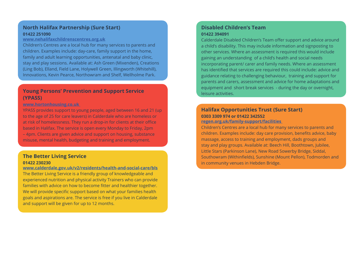### **North Halifax Partnership (Sure Start) 01422 251090**

### **www.nehalifaxchildrenscentres.org.uk**

Children's Centres are a local hub for many services to parents and children. Examples include: day-care, family support in the home, family and adult learning opportunities, antenatal and baby clinic, stay and play sessions. Available at: Ash Green (Mixenden), Creations (Ling Bob), Elland, Field Lane, Holywell Green, Illingworth (Whitehill), Innovations, Kevin Pearce, Northowram and Shelf, Wellholme Park.

### **Young Persons' Prevention and Support Service (YPASS)**

### **www.hortonhousing.co.uk**

YPASS provides support to young people, aged between 16 and 21 (up to the age of 25 for care leavers) in Calderdale who are homeless or at risk of homelessness. They run a drop-in for clients at their office based in Halifax. The service is open every Monday to Friday, 2pm – 4pm. Clients are given advice and support on housing, substance misuse, mental health, budgeting and training and employment.

### **The Better Living Service 01422 230230**

### **[www.calderdale.gov.uk/v2/residents/health-and-social-care/bls](http://www.calderdale.gov.uk/v2/residents/health-and-social-care/bls)**

The Better Living Service is a friendly group of knowledgeable and experienced nutrition and physical activity Trainers who can provide families with advice on how to become fitter and healthier together. We will provide specific support based on what your families health goals and aspirations are. The service is free if you live in Calderdale and support will be given for up to 12 months.

### **Disabled Children's Team 01422 394091**

Calderdale Disabled Children's Team offer support and advice around a child's disability. This may include information and signposting to other services. Where an assessment is required this would include gaining an understanding of a child's health and social needs incorporating parent/ carer and family needs. Where an assessment has identified that services are required this could include: advice and guidance relating to challenging behaviour, training and support for parents and carers, assessment and advice for home adaptations and equipment and short break services - during the day or overnight, leisure activities.

### **Halifax Opportunities Trust (Sure Start) 0303 3309 974 or 01422 342552 [regen.org.uk/family-support/facilities](http://regen.org.uk/family-support/facilities )**

Children's Centres are a local hub for many services to parents and children. Examples include: day care provision, benefits advice, baby massage, access to training and employment, dads groups and stay and play groups. Available at: Beech Hill, Boothtown, Jubilee, Little Stars (Parkinson Lane), New Road Sowerby Bridge, Siddal, Southowram (Withinfields), Sunshine (Mount Pellon), Todmorden and in community venues in Hebden Bridge.